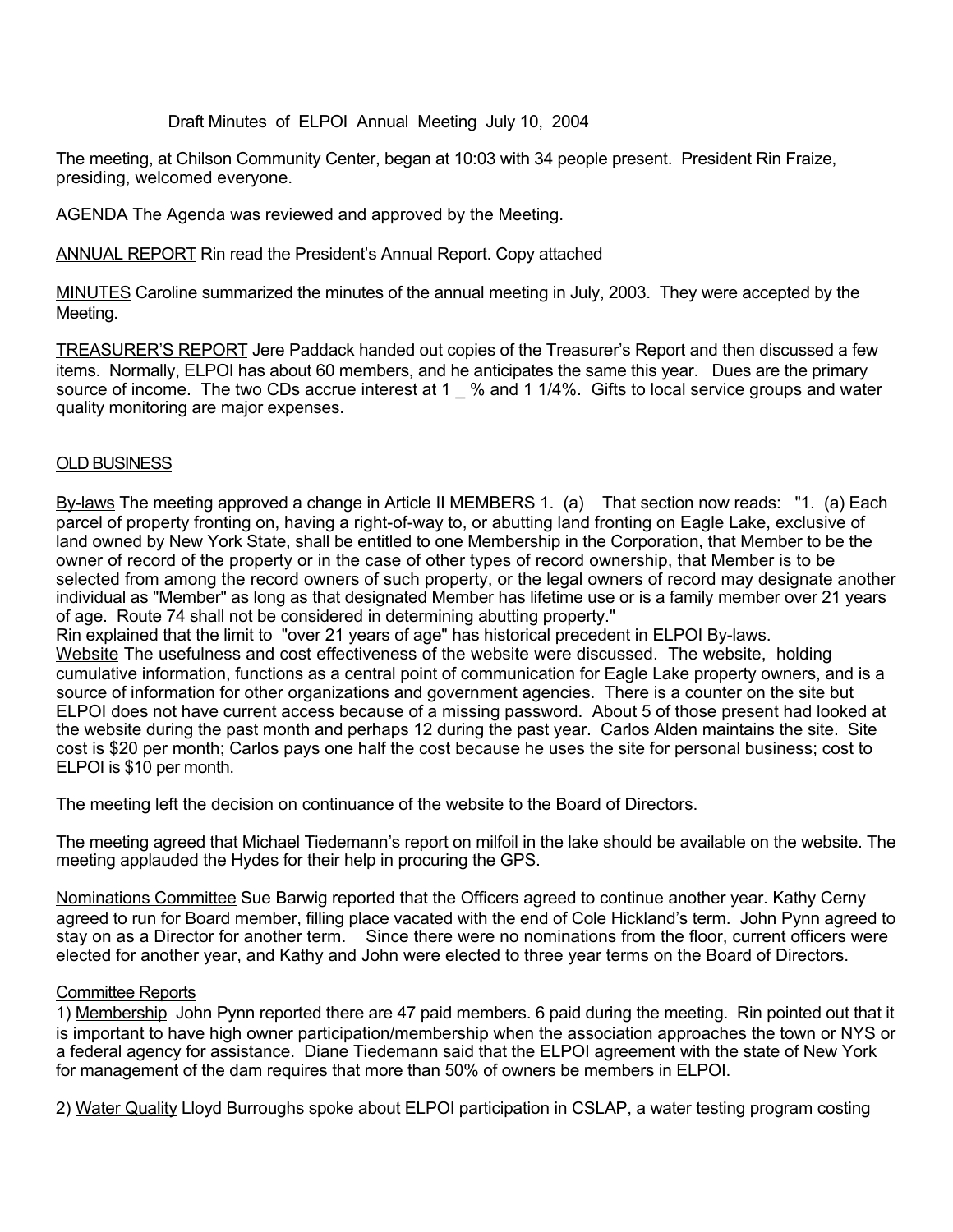Draft Minutes of ELPOI Annual Meeting July 10, 2004

The meeting, at Chilson Community Center, began at 10:03 with 34 people present. President Rin Fraize, presiding, welcomed everyone.

AGENDA The Agenda was reviewed and approved by the Meeting.

ANNUAL REPORT Rin read the President's Annual Report. Copy attached

MINUTES Caroline summarized the minutes of the annual meeting in July, 2003. They were accepted by the Meeting.

TREASURER'S REPORT Jere Paddack handed out copies of the Treasurer's Report and then discussed a few items. Normally, ELPOI has about 60 members, and he anticipates the same this year. Dues are the primary source of income. The two CDs accrue interest at 1 \_ % and 1 1/4%. Gifts to local service groups and water quality monitoring are major expenses.

## OLD BUSINESS

By-laws The meeting approved a change in Article II MEMBERS 1. (a) That section now reads: "1. (a) Each parcel of property fronting on, having a right-of-way to, or abutting land fronting on Eagle Lake, exclusive of land owned by New York State, shall be entitled to one Membership in the Corporation, that Member to be the owner of record of the property or in the case of other types of record ownership, that Member is to be selected from among the record owners of such property, or the legal owners of record may designate another individual as "Member" as long as that designated Member has lifetime use or is a family member over 21 years of age. Route 74 shall not be considered in determining abutting property."

Rin explained that the limit to "over 21 years of age" has historical precedent in ELPOI By-laws.

Website The usefulness and cost effectiveness of the website were discussed. The website, holding cumulative information, functions as a central point of communication for Eagle Lake property owners, and is a source of information for other organizations and government agencies. There is a counter on the site but ELPOI does not have current access because of a missing password. About 5 of those present had looked at the website during the past month and perhaps 12 during the past year. Carlos Alden maintains the site. Site cost is \$20 per month; Carlos pays one half the cost because he uses the site for personal business; cost to ELPOI is \$10 per month.

The meeting left the decision on continuance of the website to the Board of Directors.

The meeting agreed that Michael Tiedemann's report on milfoil in the lake should be available on the website. The meeting applauded the Hydes for their help in procuring the GPS.

Nominations Committee Sue Barwig reported that the Officers agreed to continue another year. Kathy Cerny agreed to run for Board member, filling place vacated with the end of Cole Hickland's term. John Pynn agreed to stay on as a Director for another term. Since there were no nominations from the floor, current officers were elected for another year, and Kathy and John were elected to three year terms on the Board of Directors.

### Committee Reports

1) Membership John Pynn reported there are 47 paid members. 6 paid during the meeting. Rin pointed out that it is important to have high owner participation/membership when the association approaches the town or NYS or a federal agency for assistance. Diane Tiedemann said that the ELPOI agreement with the state of New York for management of the dam requires that more than 50% of owners be members in ELPOI.

2) Water Quality Lloyd Burroughs spoke about ELPOI participation in CSLAP, a water testing program costing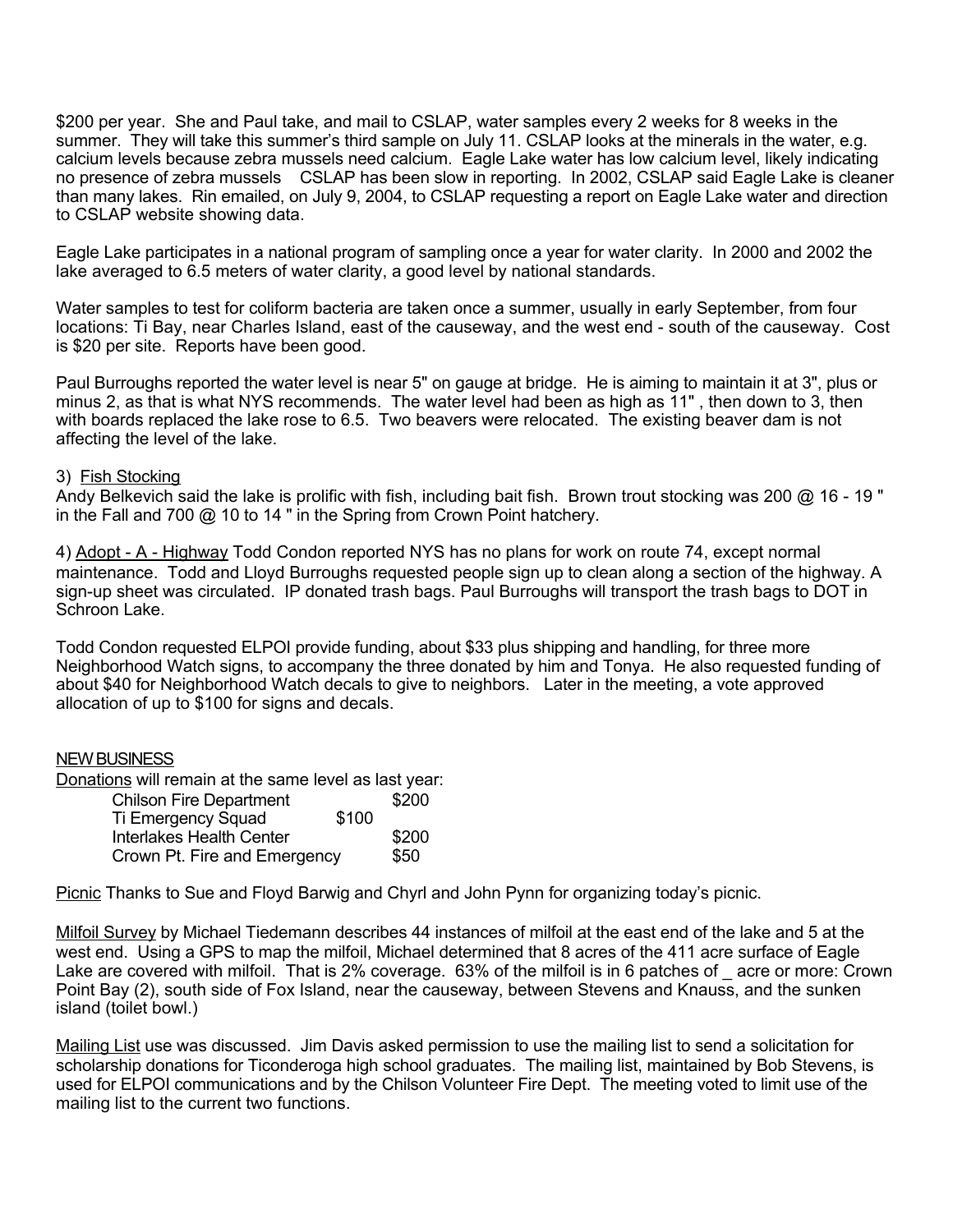\$200 per year. She and Paul take, and mail to CSLAP, water samples every 2 weeks for 8 weeks in the summer. They will take this summer's third sample on July 11. CSLAP looks at the minerals in the water, e.g. calcium levels because zebra mussels need calcium. Eagle Lake water has low calcium level, likely indicating no presence of zebra mussels CSLAP has been slow in reporting. In 2002, CSLAP said Eagle Lake is cleaner than many lakes. Rin emailed, on July 9, 2004, to CSLAP requesting a report on Eagle Lake water and direction to CSLAP website showing data.

Eagle Lake participates in a national program of sampling once a year for water clarity. In 2000 and 2002 the lake averaged to 6.5 meters of water clarity, a good level by national standards.

Water samples to test for coliform bacteria are taken once a summer, usually in early September, from four locations: Ti Bay, near Charles Island, east of the causeway, and the west end - south of the causeway. Cost is \$20 per site. Reports have been good.

Paul Burroughs reported the water level is near 5" on gauge at bridge. He is aiming to maintain it at 3", plus or minus 2, as that is what NYS recommends. The water level had been as high as 11" , then down to 3, then with boards replaced the lake rose to 6.5. Two beavers were relocated. The existing beaver dam is not affecting the level of the lake.

#### 3) Fish Stocking

Andy Belkevich said the lake is prolific with fish, including bait fish. Brown trout stocking was 200 @ 16 - 19 " in the Fall and 700 @ 10 to 14 " in the Spring from Crown Point hatchery.

4) Adopt - A - Highway Todd Condon reported NYS has no plans for work on route 74, except normal maintenance. Todd and Lloyd Burroughs requested people sign up to clean along a section of the highway. A sign-up sheet was circulated. IP donated trash bags. Paul Burroughs will transport the trash bags to DOT in Schroon Lake.

Todd Condon requested ELPOI provide funding, about \$33 plus shipping and handling, for three more Neighborhood Watch signs, to accompany the three donated by him and Tonya. He also requested funding of about \$40 for Neighborhood Watch decals to give to neighbors. Later in the meeting, a vote approved allocation of up to \$100 for signs and decals.

### NEW BUSINESS

Donations will remain at the same level as last year:

| <b>Chilson Fire Department</b>  |       | \$200 |
|---------------------------------|-------|-------|
| Ti Emergency Squad              | \$100 |       |
| <b>Interlakes Health Center</b> |       | \$200 |
| Crown Pt. Fire and Emergency    |       | \$50  |

Picnic Thanks to Sue and Floyd Barwig and Chyrl and John Pynn for organizing today's picnic.

Milfoil Survey by Michael Tiedemann describes 44 instances of milfoil at the east end of the lake and 5 at the west end. Using a GPS to map the milfoil, Michael determined that 8 acres of the 411 acre surface of Eagle Lake are covered with milfoil. That is 2% coverage. 63% of the milfoil is in 6 patches of acre or more: Crown Point Bay (2), south side of Fox Island, near the causeway, between Stevens and Knauss, and the sunken island (toilet bowl.)

Mailing List use was discussed. Jim Davis asked permission to use the mailing list to send a solicitation for scholarship donations for Ticonderoga high school graduates. The mailing list, maintained by Bob Stevens, is used for ELPOI communications and by the Chilson Volunteer Fire Dept. The meeting voted to limit use of the mailing list to the current two functions.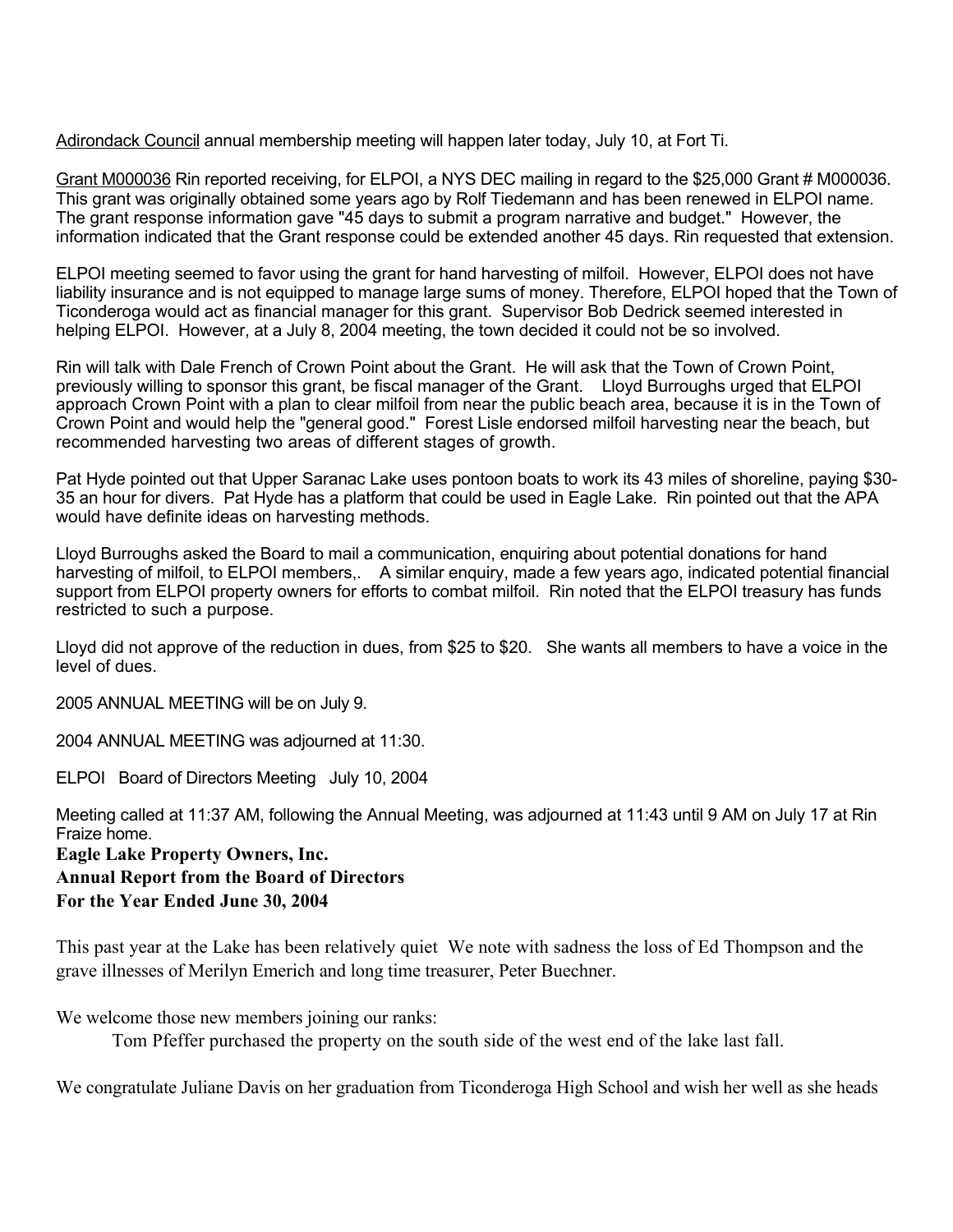Adirondack Council annual membership meeting will happen later today, July 10, at Fort Ti.

Grant M000036 Rin reported receiving, for ELPOI, a NYS DEC mailing in regard to the \$25,000 Grant # M000036. This grant was originally obtained some years ago by Rolf Tiedemann and has been renewed in ELPOI name. The grant response information gave "45 days to submit a program narrative and budget." However, the information indicated that the Grant response could be extended another 45 days. Rin requested that extension.

ELPOI meeting seemed to favor using the grant for hand harvesting of milfoil. However, ELPOI does not have liability insurance and is not equipped to manage large sums of money. Therefore, ELPOI hoped that the Town of Ticonderoga would act as financial manager for this grant. Supervisor Bob Dedrick seemed interested in helping ELPOI. However, at a July 8, 2004 meeting, the town decided it could not be so involved.

Rin will talk with Dale French of Crown Point about the Grant. He will ask that the Town of Crown Point, previously willing to sponsor this grant, be fiscal manager of the Grant. Lloyd Burroughs urged that ELPOI approach Crown Point with a plan to clear milfoil from near the public beach area, because it is in the Town of Crown Point and would help the "general good." Forest Lisle endorsed milfoil harvesting near the beach, but recommended harvesting two areas of different stages of growth.

Pat Hyde pointed out that Upper Saranac Lake uses pontoon boats to work its 43 miles of shoreline, paying \$30- 35 an hour for divers. Pat Hyde has a platform that could be used in Eagle Lake. Rin pointed out that the APA would have definite ideas on harvesting methods.

Lloyd Burroughs asked the Board to mail a communication, enquiring about potential donations for hand harvesting of milfoil, to ELPOI members,. A similar enquiry, made a few years ago, indicated potential financial support from ELPOI property owners for efforts to combat milfoil. Rin noted that the ELPOI treasury has funds restricted to such a purpose.

Lloyd did not approve of the reduction in dues, from \$25 to \$20. She wants all members to have a voice in the level of dues.

2005 ANNUAL MEETING will be on July 9.

2004 ANNUAL MEETING was adjourned at 11:30.

ELPOI Board of Directors Meeting July 10, 2004

Meeting called at 11:37 AM, following the Annual Meeting, was adjourned at 11:43 until 9 AM on July 17 at Rin Fraize home.

**Eagle Lake Property Owners, Inc. Annual Report from the Board of Directors For the Year Ended June 30, 2004**

This past year at the Lake has been relatively quiet We note with sadness the loss of Ed Thompson and the grave illnesses of Merilyn Emerich and long time treasurer, Peter Buechner.

We welcome those new members joining our ranks:

Tom Pfeffer purchased the property on the south side of the west end of the lake last fall.

We congratulate Juliane Davis on her graduation from Ticonderoga High School and wish her well as she heads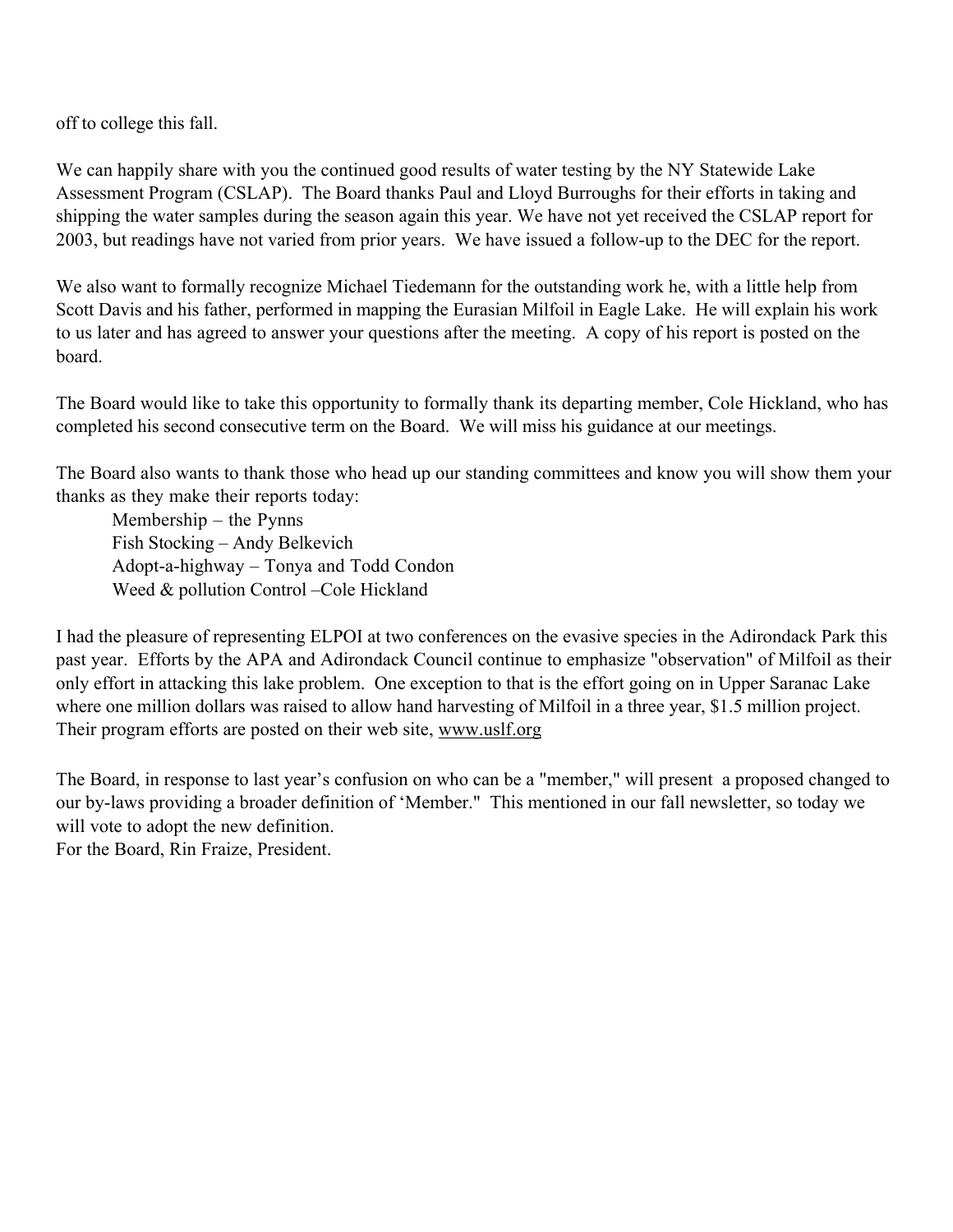off to college this fall.

We can happily share with you the continued good results of water testing by the NY Statewide Lake Assessment Program (CSLAP). The Board thanks Paul and Lloyd Burroughs for their efforts in taking and shipping the water samples during the season again this year. We have not yet received the CSLAP report for 2003, but readings have not varied from prior years. We have issued a follow-up to the DEC for the report.

We also want to formally recognize Michael Tiedemann for the outstanding work he, with a little help from Scott Davis and his father, performed in mapping the Eurasian Milfoil in Eagle Lake. He will explain his work to us later and has agreed to answer your questions after the meeting. A copy of his report is posted on the board.

The Board would like to take this opportunity to formally thank its departing member, Cole Hickland, who has completed his second consecutive term on the Board. We will miss his guidance at our meetings.

The Board also wants to thank those who head up our standing committees and know you will show them your thanks as they make their reports today:

Membership – the Pynns Fish Stocking – Andy Belkevich Adopt-a-highway – Tonya and Todd Condon Weed & pollution Control –Cole Hickland

I had the pleasure of representing ELPOI at two conferences on the evasive species in the Adirondack Park this past year. Efforts by the APA and Adirondack Council continue to emphasize "observation" of Milfoil as their only effort in attacking this lake problem. One exception to that is the effort going on in Upper Saranac Lake where one million dollars was raised to allow hand harvesting of Milfoil in a three year, \$1.5 million project. Their program efforts are posted on their web site, www.uslf.org

The Board, in response to last year's confusion on who can be a "member," will present a proposed changed to our by-laws providing a broader definition of 'Member." This mentioned in our fall newsletter, so today we will vote to adopt the new definition.

For the Board, Rin Fraize, President.